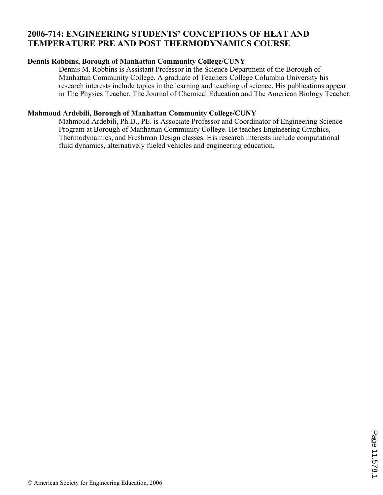### **2006-714: ENGINEERING STUDENTS' CONCEPTIONS OF HEAT AND TEMPERATURE PRE AND POST THERMODYNAMICS COURSE**

#### **Dennis Robbins, Borough of Manhattan Community College/CUNY**

Dennis M. Robbins is Assistant Professor in the Science Department of the Borough of Manhattan Community College. A graduate of Teachers College Columbia University his research interests include topics in the learning and teaching of science. His publications appear in The Physics Teacher, The Journal of Chemical Education and The American Biology Teacher.

#### **Mahmoud Ardebili, Borough of Manhattan Community College/CUNY**

Mahmoud Ardebili, Ph.D., PE. is Associate Professor and Coordinator of Engineering Science Program at Borough of Manhattan Community College. He teaches Engineering Graphics, Thermodynamics, and Freshman Design classes. His research interests include computational fluid dynamics, alternatively fueled vehicles and engineering education.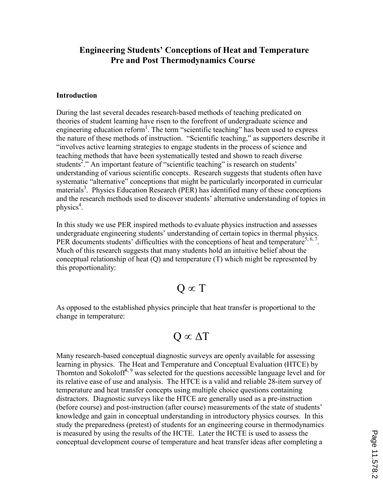## Engineering Students' Conceptions of Heat and Temperature Pre and Post Thermodynamics Course

#### Introduction

During the last several decades research-based methods of teaching predicated on theories of student learning have risen to the forefront of undergraduate science and engineering education reform<sup>1</sup>. The term "scientific teaching" has been used to express the nature of these methods of instruction. "Scientific teaching," as supporters describe it "involves active learning strategies to engage students in the process of science and teaching methods that have been systematically tested and shown to reach diverse students<sup>2</sup>." An important feature of "scientific teaching" is research on students' understanding of various scientific concepts. Research suggests that students often have systematic "alternative" conceptions that might be particularly incorporated in curricular materials<sup>3</sup>. Physics Education Research (PER) has identified many of these conceptions and the research methods used to discover students' alternative understanding of topics in physics<sup>4</sup>.

In this study we use PER inspired methods to evaluate physics instruction and assesses undergraduate engineering students' understanding of certain topics in thermal physics. PER documents students' difficulties with the conceptions of heat and temperature<sup>5, 6, 7</sup>. Much of this research suggests that many students hold an intuitive belief about the conceptual relationship of heat (Q) and temperature (T) which might be represented by this proportionality:

## $Q \propto T$

As opposed to the established physics principle that heat transfer is proportional to the change in temperature:

# $Q \propto \Delta T$

Many research-based conceptual diagnostic surveys are openly available for assessing learning in physics. The Heat and Temperature and Conceptual Evaluation (HTCE) by Thornton and Sokoloff<sup>8, 9</sup> was selected for the questions accessible language level and for its relative ease of use and analysis. The HTCE is a valid and reliable 28-item survey of temperature and heat transfer concepts using multiple choice questions containing distractors. Diagnostic surveys like the HTCE are generally used as a pre-instruction (before course) and post-instruction (after course) measurements of the state of students' knowledge and gain in conceptual understanding in introductory physics courses. In this study the preparedness (pretest) of students for an engineering course in thermodynamics is measured by using the results of the HCTE. Later the HCTE is used to assess the conceptual development course of temperature and heat transfer ideas after completing a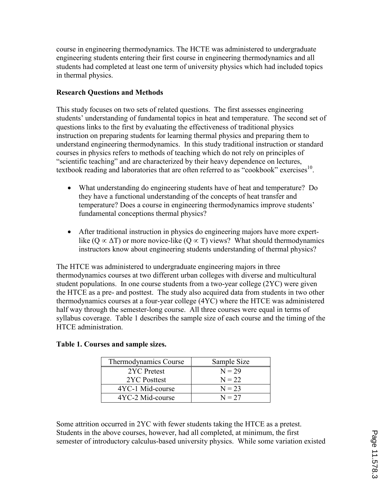course in engineering thermodynamics. The HCTE was administered to undergraduate engineering students entering their first course in engineering thermodynamics and all students had completed at least one term of university physics which had included topics in thermal physics.

#### Research Questions and Methods

This study focuses on two sets of related questions. The first assesses engineering students' understanding of fundamental topics in heat and temperature. The second set of questions links to the first by evaluating the effectiveness of traditional physics instruction on preparing students for learning thermal physics and preparing them to understand engineering thermodynamics. In this study traditional instruction or standard courses in physics refers to methods of teaching which do not rely on principles of "scientific teaching" and are characterized by their heavy dependence on lectures, textbook reading and laboratories that are often referred to as "cookbook" exercises<sup>10</sup>.

- What understanding do engineering students have of heat and temperature? Do they have a functional understanding of the concepts of heat transfer and temperature? Does a course in engineering thermodynamics improve students' fundamental conceptions thermal physics?
- After traditional instruction in physics do engineering majors have more expertlike (Q  $\propto \Delta T$ ) or more novice-like (Q  $\propto T$ ) views? What should thermodynamics instructors know about engineering students understanding of thermal physics?

The HTCE was administered to undergraduate engineering majors in three thermodynamics courses at two different urban colleges with diverse and multicultural student populations. In one course students from a two-year college (2YC) were given the HTCE as a pre- and posttest. The study also acquired data from students in two other thermodynamics courses at a four-year college (4YC) where the HTCE was administered half way through the semester-long course. All three courses were equal in terms of syllabus coverage. Table 1 describes the sample size of each course and the timing of the HTCE administration.

#### Table 1. Courses and sample sizes.

| Thermodynamics Course | Sample Size |
|-----------------------|-------------|
| 2YC Pretest           | $N = 29$    |
| 2YC Posttest          | $N = 22$    |
| 4YC-1 Mid-course      | $N = 23$    |
| 4YC-2 Mid-course      | $N = 27$    |

Some attrition occurred in 2YC with fewer students taking the HTCE as a pretest. Students in the above courses, however, had all completed, at minimum, the first semester of introductory calculus-based university physics. While some variation existed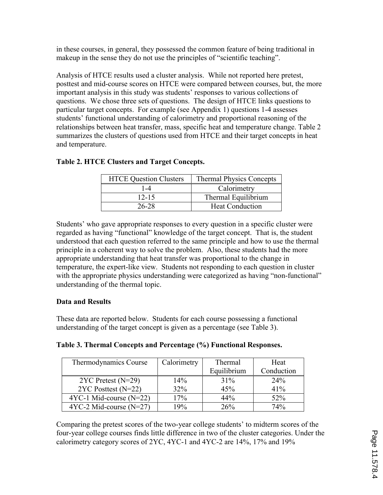in these courses, in general, they possessed the common feature of being traditional in makeup in the sense they do not use the principles of "scientific teaching".

Analysis of HTCE results used a cluster analysis. While not reported here pretest, posttest and mid-course scores on HTCE were compared between courses, but, the more important analysis in this study was students' responses to various collections of questions. We chose three sets of questions. The design of HTCE links questions to particular target concepts. For example (see Appendix 1) questions 1-4 assesses students' functional understanding of calorimetry and proportional reasoning of the relationships between heat transfer, mass, specific heat and temperature change. Table 2 summarizes the clusters of questions used from HTCE and their target concepts in heat and temperature.

| <b>HTCE Question Clusters</b> | <b>Thermal Physics Concepts</b> |  |
|-------------------------------|---------------------------------|--|
| 1-4                           | Calorimetry                     |  |
| $12 - 15$                     | Thermal Equilibrium             |  |
| 26-28                         | <b>Heat Conduction</b>          |  |

## Table 2. HTCE Clusters and Target Concepts.

Students' who gave appropriate responses to every question in a specific cluster were regarded as having "functional" knowledge of the target concept. That is, the student understood that each question referred to the same principle and how to use the thermal principle in a coherent way to solve the problem. Also, these students had the more appropriate understanding that heat transfer was proportional to the change in temperature, the expert-like view. Students not responding to each question in cluster with the appropriate physics understanding were categorized as having "non-functional" understanding of the thermal topic.

#### Data and Results

These data are reported below. Students for each course possessing a functional understanding of the target concept is given as a percentage (see Table 3).

| Table 3. Thermal Concepts and Percentage (%) Functional Responses. |  |
|--------------------------------------------------------------------|--|
|--------------------------------------------------------------------|--|

| Thermodynamics Course     | Calorimetry | Thermal     | Heat       |
|---------------------------|-------------|-------------|------------|
|                           |             | Equilibrium | Conduction |
| $2YC$ Pretest (N=29)      | 14%         | 31%         | 24%        |
| $2YC$ Posttest (N=22)     | <b>32%</b>  | 45%         | 41%        |
| $4YC-1$ Mid-course (N=22) | 17%         | 44%         | 52%        |
| $4YC-2 Mid-course (N=27)$ | 19%         | 26%         | 74%        |

Comparing the pretest scores of the two-year college students' to midterm scores of the four-year college courses finds little difference in two of the cluster categories. Under the calorimetry category scores of 2YC, 4YC-1 and 4YC-2 are 14%, 17% and 19%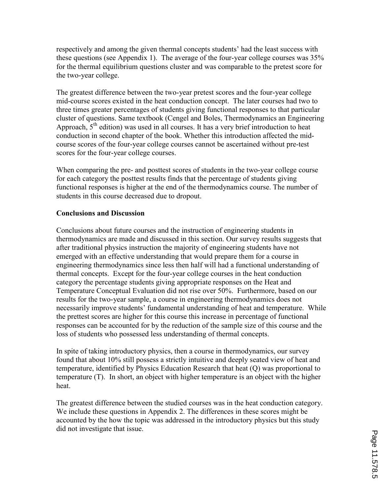respectively and among the given thermal concepts students' had the least success with these questions (see Appendix 1). The average of the four-year college courses was 35% for the thermal equilibrium questions cluster and was comparable to the pretest score for the two-year college.

The greatest difference between the two-year pretest scores and the four-year college mid-course scores existed in the heat conduction concept. The later courses had two to three times greater percentages of students giving functional responses to that particular cluster of questions. Same textbook (Cengel and Boles, Thermodynamics an Engineering Approach,  $5<sup>th</sup>$  edition) was used in all courses. It has a very brief introduction to heat conduction in second chapter of the book. Whether this introduction affected the midcourse scores of the four-year college courses cannot be ascertained without pre-test scores for the four-year college courses.

When comparing the pre- and posttest scores of students in the two-year college course for each category the posttest results finds that the percentage of students giving functional responses is higher at the end of the thermodynamics course. The number of students in this course decreased due to dropout.

#### Conclusions and Discussion

Conclusions about future courses and the instruction of engineering students in thermodynamics are made and discussed in this section. Our survey results suggests that after traditional physics instruction the majority of engineering students have not emerged with an effective understanding that would prepare them for a course in engineering thermodynamics since less then half will had a functional understanding of thermal concepts. Except for the four-year college courses in the heat conduction category the percentage students giving appropriate responses on the Heat and Temperature Conceptual Evaluation did not rise over 50%. Furthermore, based on our results for the two-year sample, a course in engineering thermodynamics does not necessarily improve students' fundamental understanding of heat and temperature. While the prettest scores are higher for this course this increase in percentage of functional responses can be accounted for by the reduction of the sample size of this course and the loss of students who possessed less understanding of thermal concepts.

In spite of taking introductory physics, then a course in thermodynamics, our survey found that about 10% still possess a strictly intuitive and deeply seated view of heat and temperature, identified by Physics Education Research that heat (Q) was proportional to temperature (T). In short, an object with higher temperature is an object with the higher heat.

The greatest difference between the studied courses was in the heat conduction category. We include these questions in Appendix 2. The differences in these scores might be accounted by the how the topic was addressed in the introductory physics but this study did not investigate that issue.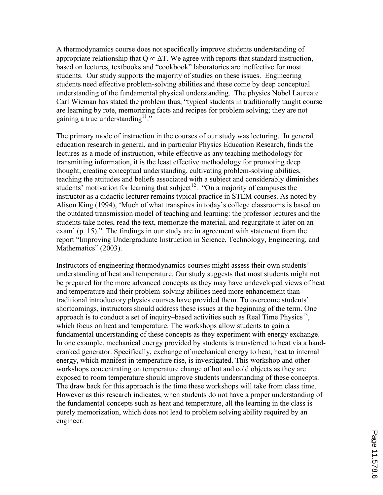A thermodynamics course does not specifically improve students understanding of appropriate relationship that  $Q \propto \Delta T$ . We agree with reports that standard instruction, based on lectures, textbooks and "cookbook" laboratories are ineffective for most students. Our study supports the majority of studies on these issues. Engineering students need effective problem-solving abilities and these come by deep conceptual understanding of the fundamental physical understanding. The physics Nobel Laureate Carl Wieman has stated the problem thus, "typical students in traditionally taught course are learning by rote, memorizing facts and recipes for problem solving; they are not gaining a true understanding  $11$ ."

The primary mode of instruction in the courses of our study was lecturing. In general education research in general, and in particular Physics Education Research, finds the lectures as a mode of instruction, while effective as any teaching methodology for transmitting information, it is the least effective methodology for promoting deep thought, creating conceptual understanding, cultivating problem-solving abilities, teaching the attitudes and beliefs associated with a subject and considerably diminishes students' motivation for learning that subject<sup>12</sup>. "On a majority of campuses the instructor as a didactic lecturer remains typical practice in STEM courses. As noted by Alison King (1994), 'Much of what transpires in today's college classrooms is based on the outdated transmission model of teaching and learning: the professor lectures and the students take notes, read the text, memorize the material, and regurgitate it later on an exam' (p. 15)." The findings in our study are in agreement with statement from the report "Improving Undergraduate Instruction in Science, Technology, Engineering, and Mathematics" (2003).

Instructors of engineering thermodynamics courses might assess their own students' understanding of heat and temperature. Our study suggests that most students might not be prepared for the more advanced concepts as they may have undeveloped views of heat and temperature and their problem-solving abilities need more enhancement than traditional introductory physics courses have provided them. To overcome students' shortcomings, instructors should address these issues at the beginning of the term. One approach is to conduct a set of inquiry–based activities such as Real Time Physics<sup>13</sup>, which focus on heat and temperature. The workshops allow students to gain a fundamental understanding of these concepts as they experiment with energy exchange. In one example, mechanical energy provided by students is transferred to heat via a handcranked generator. Specifically, exchange of mechanical energy to heat, heat to internal energy, which manifest in temperature rise, is investigated. This workshop and other workshops concentrating on temperature change of hot and cold objects as they are exposed to room temperature should improve students understanding of these concepts. The draw back for this approach is the time these workshops will take from class time. However as this research indicates, when students do not have a proper understanding of the fundamental concepts such as heat and temperature, all the learning in the class is purely memorization, which does not lead to problem solving ability required by an engineer.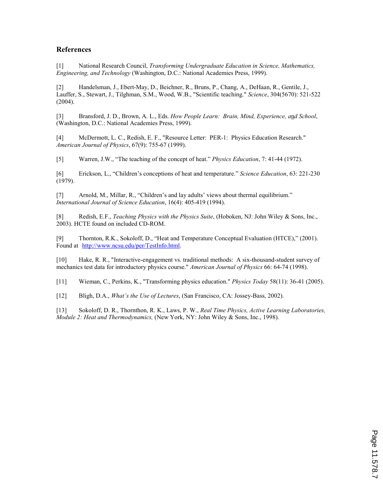#### References

[1] National Research Council, *Transforming Undergraduate Education in Science, Mathematics,* Engineering, and Technology (Washington, D.C.: National Academies Press, 1999).

[2] Handelsman, J., Ebert-May, D., Beichner, R., Bruns, P., Chang, A., DeHaan, R., Gentile, J., Lauffer, S., Stewart, J., Tilghman, S.M., Wood, W.B., "Scientific teaching." Science, 304(5670): 521-522 (2004).

[3] Bransford, J. D., Brown, A. L., Eds. How People Learn: Brain, Mind, Experience, and School, (Washington, D.C.: National Academies Press, 1999).

[4] McDermott, L. C., Redish, E. F., "Resource Letter: PER-1: Physics Education Research." American Journal of Physics, 67(9): 755-67 (1999).

[5] Warren, J.W., "The teaching of the concept of heat." *Physics Education*, 7: 41-44 (1972).

[6] Erickson, L., "Children's conceptions of heat and temperature." Science Education, 63: 221-230 (1979).

[7] Arnold, M., Millar, R., "Children's and lay adults' views about thermal equilibrium." International Journal of Science Education, 16(4): 405-419 (1994).

[8] Redish, E.F., Teaching Physics with the Physics Suite, (Hoboken, NJ: John Wiley & Sons, Inc., 2003). HCTE found on included CD-ROM.

[9] Thornton, R.K., Sokoloff, D., "Heat and Temperature Conceptual Evaluation (HTCE)," (2001). Found at http://www.ncsu.edu/per/TestInfo.html.

[10] Hake, R. R., "Interactive-engagement vs. traditional methods: A six-thousand-student survey of mechanics test data for introductory physics course." American Journal of Physics 66: 64-74 (1998).

[11] Wieman, C., Perkins, K., "Transforming physics education." Physics Today 58(11): 36-41 (2005).

[12] Bligh, D.A., What's the Use of Lectures, (San Francisco, CA: Jossey-Bass, 2002).

[13] Sokoloff, D. R., Thornthon, R. K., Laws, P. W., Real Time Physics, Active Learning Laboratories, Module 2: Heat and Thermodynamics, (New York, NY: John Wiley & Sons, Inc., 1998).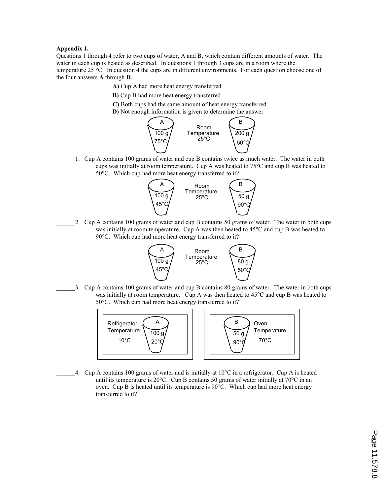#### Appendix 1.

Questions 1 through 4 refer to two cups of water, A and B, which contain different amounts of water. The water in each cup is heated as described. In questions 1 through 3 cups are in a room where the temperature 25 °C. In question 4 the cups are in different environments. For each question choose one of the four answers A through D.

- A) Cup A had more heat energy transferred
- B) Cup B had more heat energy transferred
- C) Both cups had the same amount of heat energy transferred
- D) Not enough information is given to determine the answer



\_\_\_\_\_\_1. Cup A contains 100 grams of water and cup B contains twice as much water. The water in both cups was initially at room temperature. Cup A was heated to 75°C and cup B was heated to 50°C. Which cup had more heat energy transferred to it?



\_\_\_\_\_\_2. Cup A contains 100 grams of water and cup B contains 50 grams of water. The water in both cups was initially at room temperature. Cup A was then heated to 45°C and cup B was heated to 90°C. Which cup had more heat energy transferred to it?



\_\_\_\_\_\_3. Cup A contains 100 grams of water and cup B contains 80 grams of water. The water in both cups was initially at room temperature. Cup A was then heated to  $45^{\circ}$ C and cup B was heated to 50°C. Which cup had more heat energy transferred to it?



4. Cup A contains 100 grams of water and is initially at  $10^{\circ}$ C in a refrigerator. Cup A is heated until its temperature is 20°C. Cup B contains 50 grams of water initially at 70°C in an oven. Cup B is heated until its temperature is 90°C. Which cup had more heat energy transferred to it?